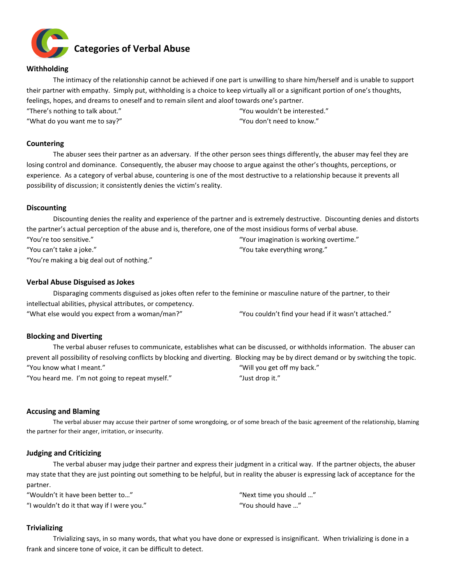

## **Withholding**

The intimacy of the relationship cannot be achieved if one part is unwilling to share him/herself and is unable to support their partner with empathy. Simply put, withholding is a choice to keep virtually all or a significant portion of one's thoughts, feelings, hopes, and dreams to oneself and to remain silent and aloof towards one's partner.

"There's nothing to talk about."

"What do you want me to say?"

"You wouldn't be interested." "You don't need to know."

## **Countering**

The abuser sees their partner as an adversary. If the other person sees things differently, the abuser may feel they are losing control and dominance. Consequently, the abuser may choose to argue against the other's thoughts, perceptions, or experience. As a category of verbal abuse, countering is one of the most destructive to a relationship because it prevents all possibility of discussion; it consistently denies the victim's reality.

## **Discounting**

Discounting denies the reality and experience of the partner and is extremely destructive. Discounting denies and distorts the partner's actual perception of the abuse and is, therefore, one of the most insidious forms of verbal abuse. "You're too sensitive." "You can't take a joke." "You're making a big deal out of nothing." "Your imagination is working overtime." "You take everything wrong."

## **Verbal Abuse Disguised as Jokes**

Disparaging comments disguised as jokes often refer to the feminine or masculine nature of the partner, to their intellectual abilities, physical attributes, or competency. "What else would you expect from a woman/man?" "You couldn't find your head if it wasn't attached."

# **Blocking and Diverting**

The verbal abuser refuses to communicate, establishes what can be discussed, or withholds information. The abuser can prevent all possibility of resolving conflicts by blocking and diverting. Blocking may be by direct demand or by switching the topic. "You know what I meant." "You heard me. I'm not going to repeat myself." "Will you get off my back." "Just drop it."

## **Accusing and Blaming**

The verbal abuser may accuse their partner of some wrongdoing, or of some breach of the basic agreement of the relationship, blaming the partner for their anger, irritation, or insecurity.

## **Judging and Criticizing**

The verbal abuser may judge their partner and express their judgment in a critical way. If the partner objects, the abuser may state that they are just pointing out something to be helpful, but in reality the abuser is expressing lack of acceptance for the partner.

"Wouldn't it have been better to…" "I wouldn't do it that way if I were you." "Next time you should …" "You should have …"

## **Trivializing**

Trivializing says, in so many words, that what you have done or expressed is insignificant. When trivializing is done in a frank and sincere tone of voice, it can be difficult to detect.